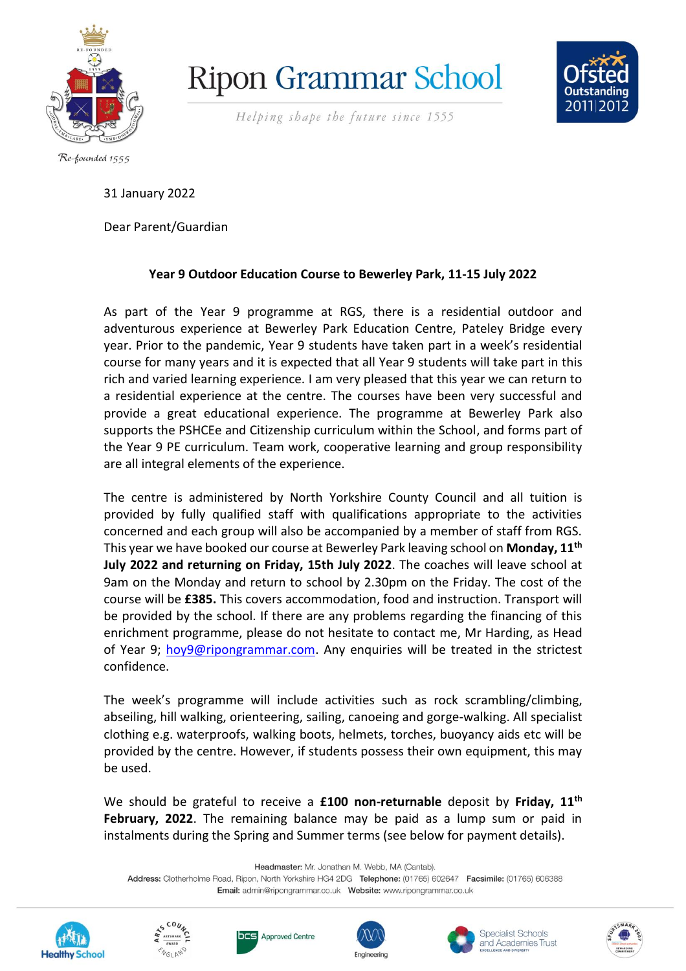

**Ripon Grammar School** 



Helping shape the future since 1555

Re-founded 1555

31 January 2022

Dear Parent/Guardian

## **Year 9 Outdoor Education Course to Bewerley Park, 11-15 July 2022**

As part of the Year 9 programme at RGS, there is a residential outdoor and adventurous experience at Bewerley Park Education Centre, Pateley Bridge every year. Prior to the pandemic, Year 9 students have taken part in a week's residential course for many years and it is expected that all Year 9 students will take part in this rich and varied learning experience. I am very pleased that this year we can return to a residential experience at the centre. The courses have been very successful and provide a great educational experience. The programme at Bewerley Park also supports the PSHCEe and Citizenship curriculum within the School, and forms part of the Year 9 PE curriculum. Team work, cooperative learning and group responsibility are all integral elements of the experience.

The centre is administered by North Yorkshire County Council and all tuition is provided by fully qualified staff with qualifications appropriate to the activities concerned and each group will also be accompanied by a member of staff from RGS. This year we have booked our course at Bewerley Park leaving school on **Monday, 11th July 2022 and returning on Friday, 15th July 2022**. The coaches will leave school at 9am on the Monday and return to school by 2.30pm on the Friday. The cost of the course will be **£385.** This covers accommodation, food and instruction. Transport will be provided by the school. If there are any problems regarding the financing of this enrichment programme, please do not hesitate to contact me, Mr Harding, as Head of Year 9; [hoy9@ripongrammar.com.](mailto:hoy9@ripongrammar.com) Any enquiries will be treated in the strictest confidence.

The week's programme will include activities such as rock scrambling/climbing, abseiling, hill walking, orienteering, sailing, canoeing and gorge-walking. All specialist clothing e.g. waterproofs, walking boots, helmets, torches, buoyancy aids etc will be provided by the centre. However, if students possess their own equipment, this may be used.

We should be grateful to receive a **£100 non-returnable** deposit by **Friday, 11th February, 2022**. The remaining balance may be paid as a lump sum or paid in instalments during the Spring and Summer terms (see below for payment details).

Headmaster: Mr. Jonathan M. Webb, MA (Cantab).

Address: Clotherholme Road, Ripon, North Yorkshire HG4 2DG Telephone: (01765) 602647 Facsimile: (01765) 606388